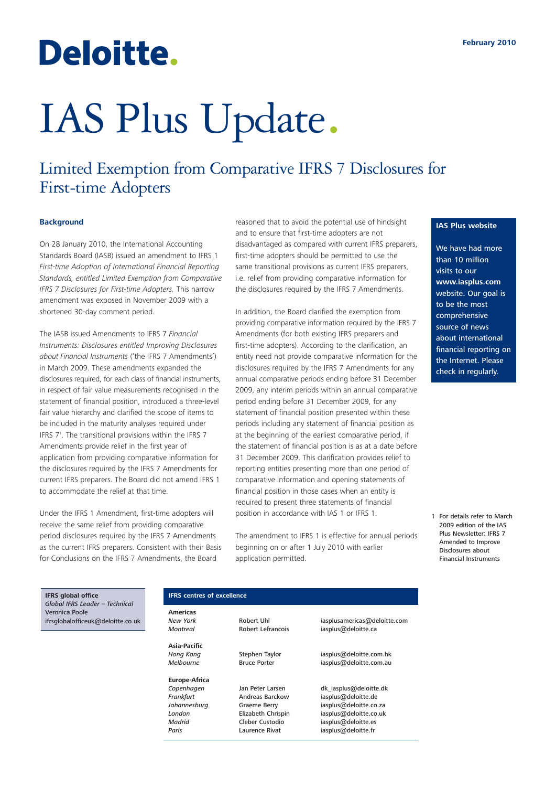## Deloitte.

# IAS Plus Update.

### Limited Exemption from Comparative IFRS 7 Disclosures for First-time Adopters

#### **Background**

On 28 January 2010, the International Accounting Standards Board (IASB) issued an amendment to IFRS 1 *First-time Adoption of International Financial Reporting Standards, entitled Limited Exemption from Comparative IFRS 7 Disclosures for First-time Adopters.* This narrow amendment was exposed in November 2009 with a shortened 30-day comment period.

The IASB issued Amendments to IFRS 7 *Financial Instruments: Disclosures entitled Improving Disclosures about Financial Instruments* ('the IFRS 7 Amendments') in March 2009. These amendments expanded the disclosures required, for each class of financial instruments, in respect of fair value measurements recognised in the statement of financial position, introduced a three-level fair value hierarchy and clarified the scope of items to be included in the maturity analyses required under IFRS 7<sup>1</sup>. The transitional provisions within the IFRS 7 Amendments provide relief in the first year of application from providing comparative information for the disclosures required by the IFRS 7 Amendments for current IFRS preparers. The Board did not amend IFRS 1 to accommodate the relief at that time.

Under the IFRS 1 Amendment, first-time adopters will receive the same relief from providing comparative period disclosures required by the IFRS 7 Amendments as the current IFRS preparers. Consistent with their Basis for Conclusions on the IFRS 7 Amendments, the Board

reasoned that to avoid the potential use of hindsight and to ensure that first-time adopters are not disadvantaged as compared with current IFRS preparers, first-time adopters should be permitted to use the same transitional provisions as current IFRS preparers, i.e. relief from providing comparative information for the disclosures required by the IFRS 7 Amendments.

In addition, the Board clarified the exemption from providing comparative information required by the IFRS 7 Amendments (for both existing IFRS preparers and first-time adopters). According to the clarification, an entity need not provide comparative information for the disclosures required by the IFRS 7 Amendments for any annual comparative periods ending before 31 December 2009, any interim periods within an annual comparative period ending before 31 December 2009, for any statement of financial position presented within these periods including any statement of financial position as at the beginning of the earliest comparative period, if the statement of financial position is as at a date before 31 December 2009. This clarification provides relief to reporting entities presenting more than one period of comparative information and opening statements of financial position in those cases when an entity is required to present three statements of financial position in accordance with IAS 1 or IFRS 1.

The amendment to IFRS 1 is effective for annual periods beginning on or after 1 July 2010 with earlier application permitted.

#### **IAS Plus website**

We have had more than 10 million visits to our **www.iasplus.com** website. Our goal is to be the most comprehensive source of news about international financial reporting on the Internet. Please check in regularly.

1 For details refer to March [2009 edition of the IAS](http://www.iasplus.com/iasplus/0903ifrs7amendments.pdf) Plus Newsletter: IFRS 7 Amended to Improve Disclosures about Financial Instruments

**IFRS global office** *Global IFRS Leader – Technical* Veronica Poole ifrsglobalofficeuk@deloitte.co.uk

#### **IFRS centres of excellence**

**Americas**

**Asia-Pacific**

**Europe-Africa**

*Frankfurt* Andreas Barckow iasplus@deloitte.de *Madrid* Cleber Custodio iasplus@deloitte.es Paris **Contains Laurence Rivat** iasplus@deloitte.fr

*New York* Robert Uhl iasplusamericas@deloitte.com *Montreal* Robert Lefrancois iasplus@deloitte.ca

*Hong Kong* Stephen Taylor iasplus@deloitte.com.hk *Melbourne* Bruce Porter iasplus@deloitte.com.au

Copenhagen Jan Peter Larsen dk iasplus@deloitte.dk *Johannesburg* Graeme Berry iasplus@deloitte.co.za **London**<br> **Elizabeth Chrispin** iasplus@deloitte.co.uk<br> *Madrid* Cleber Custodio iasplus@deloitte.es